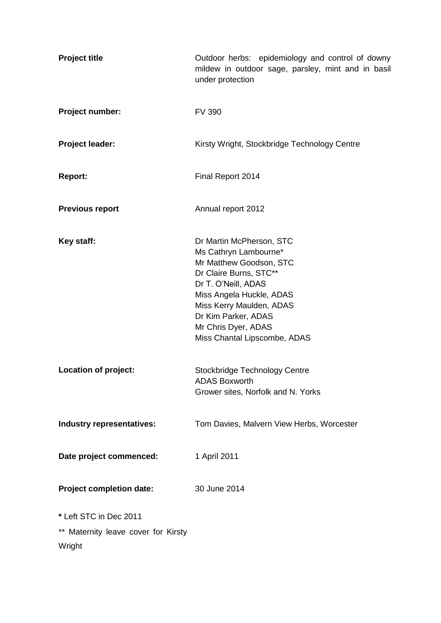| <b>Project title</b>                                                    | Outdoor herbs: epidemiology and control of downy<br>mildew in outdoor sage, parsley, mint and in basil<br>under protection                                                                                                                                          |
|-------------------------------------------------------------------------|---------------------------------------------------------------------------------------------------------------------------------------------------------------------------------------------------------------------------------------------------------------------|
| Project number:                                                         | <b>FV 390</b>                                                                                                                                                                                                                                                       |
| Project leader:                                                         | Kirsty Wright, Stockbridge Technology Centre                                                                                                                                                                                                                        |
| <b>Report:</b>                                                          | Final Report 2014                                                                                                                                                                                                                                                   |
| <b>Previous report</b>                                                  | Annual report 2012                                                                                                                                                                                                                                                  |
| Key staff:                                                              | Dr Martin McPherson, STC<br>Ms Cathryn Lambourne*<br>Mr Matthew Goodson, STC<br>Dr Claire Burns, STC**<br>Dr T. O'Neill, ADAS<br>Miss Angela Huckle, ADAS<br>Miss Kerry Maulden, ADAS<br>Dr Kim Parker, ADAS<br>Mr Chris Dyer, ADAS<br>Miss Chantal Lipscombe, ADAS |
| Location of project:                                                    | Stockbridge Technology Centre<br><b>ADAS Boxworth</b><br>Grower sites, Norfolk and N. Yorks                                                                                                                                                                         |
| Industry representatives:                                               | Tom Davies, Malvern View Herbs, Worcester                                                                                                                                                                                                                           |
| Date project commenced:                                                 | 1 April 2011                                                                                                                                                                                                                                                        |
| <b>Project completion date:</b>                                         | 30 June 2014                                                                                                                                                                                                                                                        |
| * Left STC in Dec 2011<br>** Maternity leave cover for Kirsty<br>Wright |                                                                                                                                                                                                                                                                     |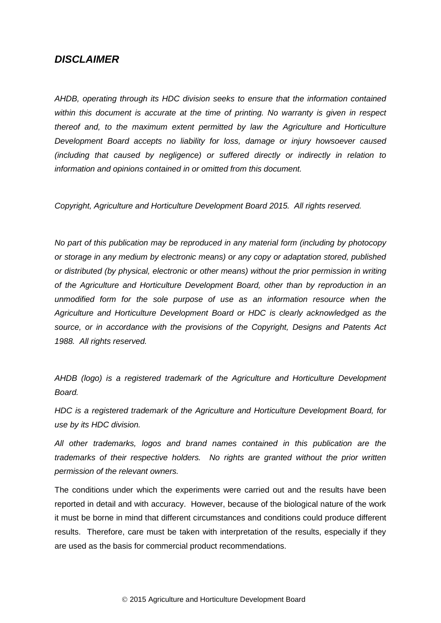## *DISCLAIMER*

*AHDB, operating through its HDC division seeks to ensure that the information contained within this document is accurate at the time of printing. No warranty is given in respect thereof and, to the maximum extent permitted by law the Agriculture and Horticulture Development Board accepts no liability for loss, damage or injury howsoever caused (including that caused by negligence) or suffered directly or indirectly in relation to information and opinions contained in or omitted from this document.* 

*Copyright, Agriculture and Horticulture Development Board 2015. All rights reserved.*

*No part of this publication may be reproduced in any material form (including by photocopy or storage in any medium by electronic means) or any copy or adaptation stored, published or distributed (by physical, electronic or other means) without the prior permission in writing of the Agriculture and Horticulture Development Board, other than by reproduction in an unmodified form for the sole purpose of use as an information resource when the Agriculture and Horticulture Development Board or HDC is clearly acknowledged as the source, or in accordance with the provisions of the Copyright, Designs and Patents Act 1988. All rights reserved.* 

*AHDB (logo) is a registered trademark of the Agriculture and Horticulture Development Board.*

*HDC is a registered trademark of the Agriculture and Horticulture Development Board, for use by its HDC division.*

*All other trademarks, logos and brand names contained in this publication are the trademarks of their respective holders. No rights are granted without the prior written permission of the relevant owners.*

The conditions under which the experiments were carried out and the results have been reported in detail and with accuracy. However, because of the biological nature of the work it must be borne in mind that different circumstances and conditions could produce different results. Therefore, care must be taken with interpretation of the results, especially if they are used as the basis for commercial product recommendations.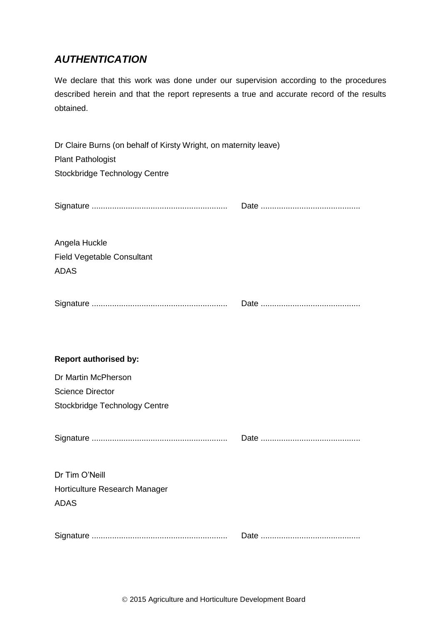# *AUTHENTICATION*

We declare that this work was done under our supervision according to the procedures described herein and that the report represents a true and accurate record of the results obtained.

| Dr Claire Burns (on behalf of Kirsty Wright, on maternity leave)<br><b>Plant Pathologist</b><br>Stockbridge Technology Centre |  |
|-------------------------------------------------------------------------------------------------------------------------------|--|
|                                                                                                                               |  |
| Angela Huckle<br><b>Field Vegetable Consultant</b><br><b>ADAS</b>                                                             |  |
|                                                                                                                               |  |
| <b>Report authorised by:</b>                                                                                                  |  |
| Dr Martin McPherson                                                                                                           |  |
| <b>Science Director</b>                                                                                                       |  |
| Stockbridge Technology Centre                                                                                                 |  |
|                                                                                                                               |  |
| Dr Tim O'Neill                                                                                                                |  |
| Horticulture Research Manager                                                                                                 |  |
| <b>ADAS</b>                                                                                                                   |  |
|                                                                                                                               |  |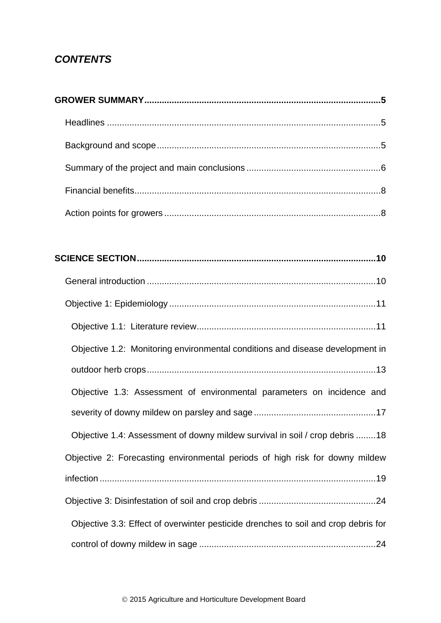# *CONTENTS*

| Objective 1.2: Monitoring environmental conditions and disease development in      |
|------------------------------------------------------------------------------------|
|                                                                                    |
| Objective 1.3: Assessment of environmental parameters on incidence and             |
|                                                                                    |
| Objective 1.4: Assessment of downy mildew survival in soil / crop debris 18        |
| Objective 2: Forecasting environmental periods of high risk for downy mildew       |
|                                                                                    |
|                                                                                    |
| Objective 3.3: Effect of overwinter pesticide drenches to soil and crop debris for |
|                                                                                    |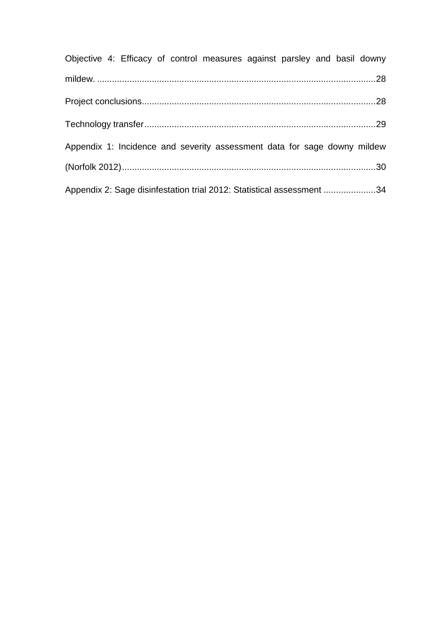| Objective 4: Efficacy of control measures against parsley and basil downy |  |  |
|---------------------------------------------------------------------------|--|--|
|                                                                           |  |  |
|                                                                           |  |  |
|                                                                           |  |  |
| Appendix 1: Incidence and severity assessment data for sage downy mildew  |  |  |
|                                                                           |  |  |
| Appendix 2: Sage disinfestation trial 2012: Statistical assessment 34     |  |  |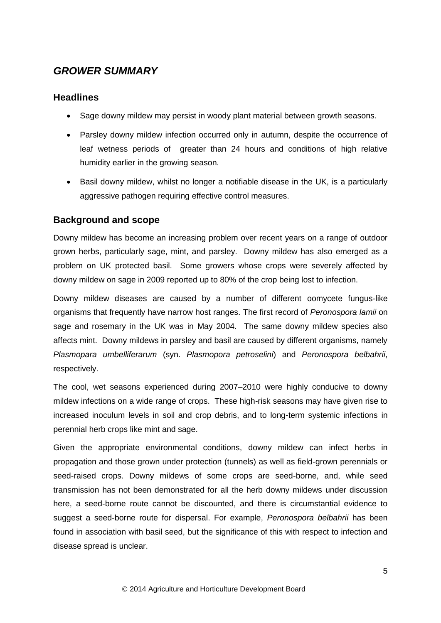# <span id="page-5-0"></span>*GROWER SUMMARY*

## <span id="page-5-1"></span>**Headlines**

- Sage downy mildew may persist in woody plant material between growth seasons.
- Parsley downy mildew infection occurred only in autumn, despite the occurrence of leaf wetness periods of greater than 24 hours and conditions of high relative humidity earlier in the growing season.
- Basil downy mildew, whilst no longer a notifiable disease in the UK, is a particularly aggressive pathogen requiring effective control measures.

## <span id="page-5-2"></span>**Background and scope**

Downy mildew has become an increasing problem over recent years on a range of outdoor grown herbs, particularly sage, mint, and parsley. Downy mildew has also emerged as a problem on UK protected basil. Some growers whose crops were severely affected by downy mildew on sage in 2009 reported up to 80% of the crop being lost to infection.

Downy mildew diseases are caused by a number of different oomycete fungus-like organisms that frequently have narrow host ranges. The first record of *Peronospora lamii* on sage and rosemary in the UK was in May 2004. The same downy mildew species also affects mint. Downy mildews in parsley and basil are caused by different organisms, namely *Plasmopara umbelliferarum* (syn. *Plasmopora petroselini*) and *Peronospora belbahrii*, respectively.

The cool, wet seasons experienced during 2007–2010 were highly conducive to downy mildew infections on a wide range of crops. These high-risk seasons may have given rise to increased inoculum levels in soil and crop debris, and to long-term systemic infections in perennial herb crops like mint and sage.

Given the appropriate environmental conditions, downy mildew can infect herbs in propagation and those grown under protection (tunnels) as well as field-grown perennials or seed-raised crops. Downy mildews of some crops are seed-borne, and, while seed transmission has not been demonstrated for all the herb downy mildews under discussion here, a seed-borne route cannot be discounted, and there is circumstantial evidence to suggest a seed-borne route for dispersal. For example, *Peronospora belbahrii* has been found in association with basil seed, but the significance of this with respect to infection and disease spread is unclear.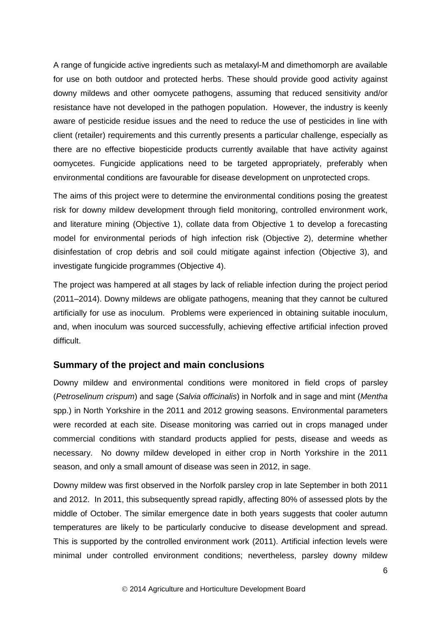A range of fungicide active ingredients such as metalaxyl-M and dimethomorph are available for use on both outdoor and protected herbs. These should provide good activity against downy mildews and other oomycete pathogens, assuming that reduced sensitivity and/or resistance have not developed in the pathogen population. However, the industry is keenly aware of pesticide residue issues and the need to reduce the use of pesticides in line with client (retailer) requirements and this currently presents a particular challenge, especially as there are no effective biopesticide products currently available that have activity against oomycetes. Fungicide applications need to be targeted appropriately, preferably when environmental conditions are favourable for disease development on unprotected crops.

The aims of this project were to determine the environmental conditions posing the greatest risk for downy mildew development through field monitoring, controlled environment work, and literature mining (Objective 1), collate data from Objective 1 to develop a forecasting model for environmental periods of high infection risk (Objective 2), determine whether disinfestation of crop debris and soil could mitigate against infection (Objective 3), and investigate fungicide programmes (Objective 4).

The project was hampered at all stages by lack of reliable infection during the project period (2011–2014). Downy mildews are obligate pathogens, meaning that they cannot be cultured artificially for use as inoculum. Problems were experienced in obtaining suitable inoculum, and, when inoculum was sourced successfully, achieving effective artificial infection proved difficult.

### <span id="page-6-0"></span>**Summary of the project and main conclusions**

Downy mildew and environmental conditions were monitored in field crops of parsley (*Petroselinum crispum*) and sage (*Salvia officinalis*) in Norfolk and in sage and mint (*Mentha* spp.) in North Yorkshire in the 2011 and 2012 growing seasons. Environmental parameters were recorded at each site. Disease monitoring was carried out in crops managed under commercial conditions with standard products applied for pests, disease and weeds as necessary. No downy mildew developed in either crop in North Yorkshire in the 2011 season, and only a small amount of disease was seen in 2012, in sage.

Downy mildew was first observed in the Norfolk parsley crop in late September in both 2011 and 2012. In 2011, this subsequently spread rapidly, affecting 80% of assessed plots by the middle of October. The similar emergence date in both years suggests that cooler autumn temperatures are likely to be particularly conducive to disease development and spread. This is supported by the controlled environment work (2011). Artificial infection levels were minimal under controlled environment conditions; nevertheless, parsley downy mildew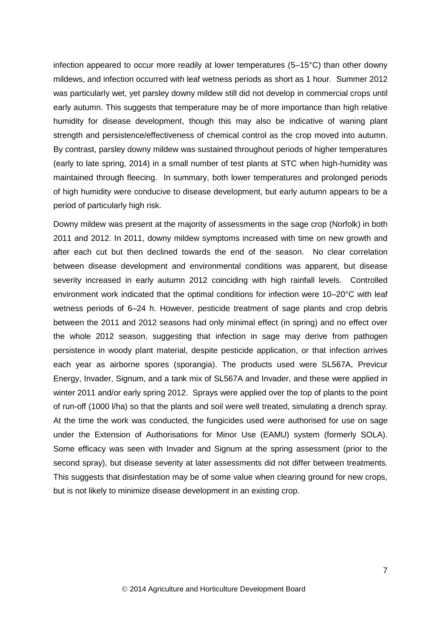infection appeared to occur more readily at lower temperatures (5–15°C) than other downy mildews, and infection occurred with leaf wetness periods as short as 1 hour. Summer 2012 was particularly wet, yet parsley downy mildew still did not develop in commercial crops until early autumn. This suggests that temperature may be of more importance than high relative humidity for disease development, though this may also be indicative of waning plant strength and persistence/effectiveness of chemical control as the crop moved into autumn. By contrast, parsley downy mildew was sustained throughout periods of higher temperatures (early to late spring, 2014) in a small number of test plants at STC when high-humidity was maintained through fleecing. In summary, both lower temperatures and prolonged periods of high humidity were conducive to disease development, but early autumn appears to be a period of particularly high risk.

<span id="page-7-0"></span>Downy mildew was present at the majority of assessments in the sage crop (Norfolk) in both 2011 and 2012. In 2011, downy mildew symptoms increased with time on new growth and after each cut but then declined towards the end of the season. No clear correlation between disease development and environmental conditions was apparent, but disease severity increased in early autumn 2012 coinciding with high rainfall levels. Controlled environment work indicated that the optimal conditions for infection were 10–20°C with leaf wetness periods of 6–24 h. However, pesticide treatment of sage plants and crop debris between the 2011 and 2012 seasons had only minimal effect (in spring) and no effect over the whole 2012 season, suggesting that infection in sage may derive from pathogen persistence in woody plant material, despite pesticide application, or that infection arrives each year as airborne spores (sporangia). The products used were SL567A, Previcur Energy, Invader, Signum, and a tank mix of SL567A and Invader, and these were applied in winter 2011 and/or early spring 2012. Sprays were applied over the top of plants to the point of run-off (1000 l/ha) so that the plants and soil were well treated, simulating a drench spray. At the time the work was conducted, the fungicides used were authorised for use on sage under the Extension of Authorisations for Minor Use (EAMU) system (formerly SOLA). Some efficacy was seen with Invader and Signum at the spring assessment (prior to the second spray), but disease severity at later assessments did not differ between treatments. This suggests that disinfestation may be of some value when clearing ground for new crops, but is not likely to minimize disease development in an existing crop.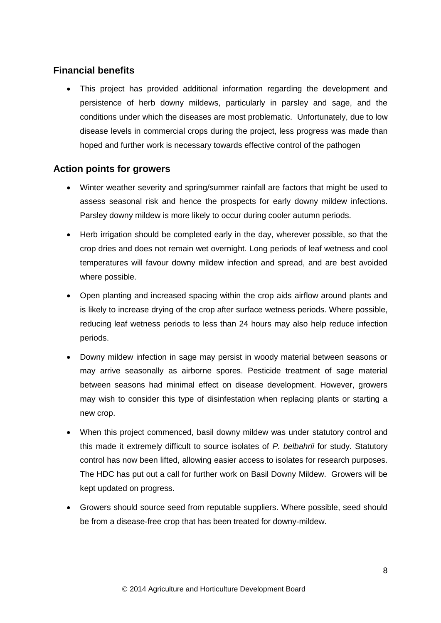## **Financial benefits**

 This project has provided additional information regarding the development and persistence of herb downy mildews, particularly in parsley and sage, and the conditions under which the diseases are most problematic. Unfortunately, due to low disease levels in commercial crops during the project, less progress was made than hoped and further work is necessary towards effective control of the pathogen

## <span id="page-8-0"></span>**Action points for growers**

- Winter weather severity and spring/summer rainfall are factors that might be used to assess seasonal risk and hence the prospects for early downy mildew infections. Parsley downy mildew is more likely to occur during cooler autumn periods.
- Herb irrigation should be completed early in the day, wherever possible, so that the crop dries and does not remain wet overnight. Long periods of leaf wetness and cool temperatures will favour downy mildew infection and spread, and are best avoided where possible.
- Open planting and increased spacing within the crop aids airflow around plants and is likely to increase drying of the crop after surface wetness periods. Where possible, reducing leaf wetness periods to less than 24 hours may also help reduce infection periods.
- Downy mildew infection in sage may persist in woody material between seasons or may arrive seasonally as airborne spores. Pesticide treatment of sage material between seasons had minimal effect on disease development. However, growers may wish to consider this type of disinfestation when replacing plants or starting a new crop.
- When this project commenced, basil downy mildew was under statutory control and this made it extremely difficult to source isolates of *P. belbahrii* for study. Statutory control has now been lifted, allowing easier access to isolates for research purposes. The HDC has put out a call for further work on Basil Downy Mildew. Growers will be kept updated on progress.
- Growers should source seed from reputable suppliers. Where possible, seed should be from a disease-free crop that has been treated for downy-mildew.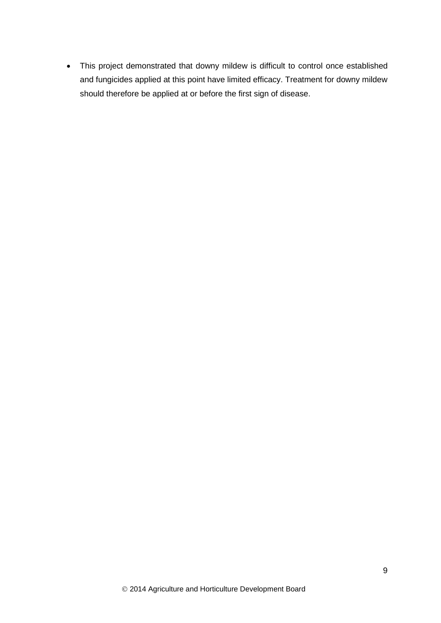This project demonstrated that downy mildew is difficult to control once established and fungicides applied at this point have limited efficacy. Treatment for downy mildew should therefore be applied at or before the first sign of disease.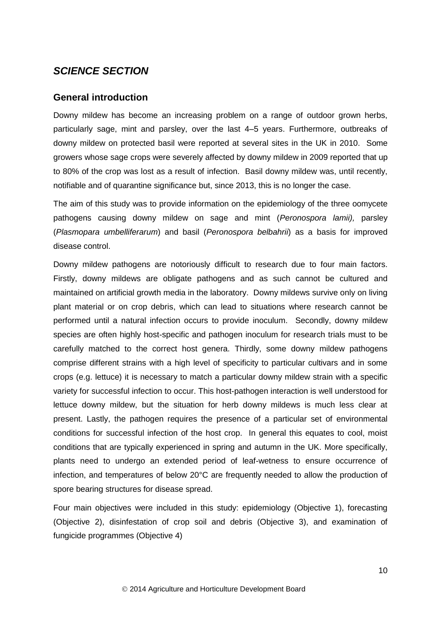# <span id="page-10-0"></span>*SCIENCE SECTION*

## <span id="page-10-1"></span>**General introduction**

Downy mildew has become an increasing problem on a range of outdoor grown herbs, particularly sage, mint and parsley, over the last 4–5 years. Furthermore, outbreaks of downy mildew on protected basil were reported at several sites in the UK in 2010. Some growers whose sage crops were severely affected by downy mildew in 2009 reported that up to 80% of the crop was lost as a result of infection. Basil downy mildew was, until recently, notifiable and of quarantine significance but, since 2013, this is no longer the case.

The aim of this study was to provide information on the epidemiology of the three oomycete pathogens causing downy mildew on sage and mint (*Peronospora lamii),* parsley (*Plasmopara umbelliferarum*) and basil (*Peronospora belbahrii*) as a basis for improved disease control.

Downy mildew pathogens are notoriously difficult to research due to four main factors. Firstly, downy mildews are obligate pathogens and as such cannot be cultured and maintained on artificial growth media in the laboratory. Downy mildews survive only on living plant material or on crop debris, which can lead to situations where research cannot be performed until a natural infection occurs to provide inoculum. Secondly, downy mildew species are often highly host-specific and pathogen inoculum for research trials must to be carefully matched to the correct host genera. Thirdly, some downy mildew pathogens comprise different strains with a high level of specificity to particular cultivars and in some crops (e.g. lettuce) it is necessary to match a particular downy mildew strain with a specific variety for successful infection to occur. This host-pathogen interaction is well understood for lettuce downy mildew, but the situation for herb downy mildews is much less clear at present. Lastly, the pathogen requires the presence of a particular set of environmental conditions for successful infection of the host crop. In general this equates to cool, moist conditions that are typically experienced in spring and autumn in the UK. More specifically, plants need to undergo an extended period of leaf-wetness to ensure occurrence of infection, and temperatures of below 20°C are frequently needed to allow the production of spore bearing structures for disease spread.

Four main objectives were included in this study: epidemiology (Objective 1), forecasting (Objective 2), disinfestation of crop soil and debris (Objective 3), and examination of fungicide programmes (Objective 4)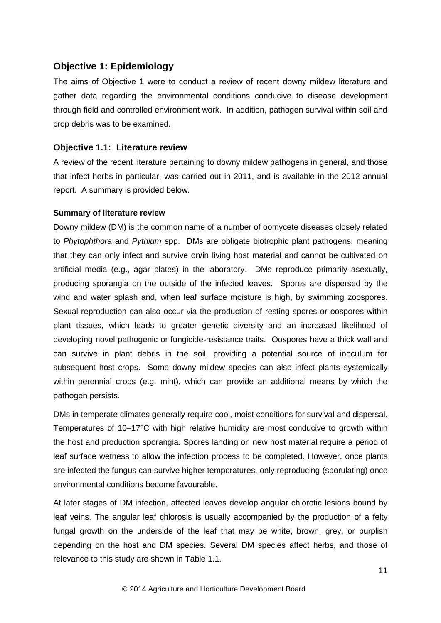## <span id="page-11-0"></span>**Objective 1: Epidemiology**

The aims of Objective 1 were to conduct a review of recent downy mildew literature and gather data regarding the environmental conditions conducive to disease development through field and controlled environment work. In addition, pathogen survival within soil and crop debris was to be examined.

### <span id="page-11-1"></span>**Objective 1.1: Literature review**

A review of the recent literature pertaining to downy mildew pathogens in general, and those that infect herbs in particular, was carried out in 2011, and is available in the 2012 annual report. A summary is provided below.

### **Summary of literature review**

Downy mildew (DM) is the common name of a number of oomycete diseases closely related to *Phytophthora* and *Pythium* spp. DMs are obligate biotrophic plant pathogens, meaning that they can only infect and survive on/in living host material and cannot be cultivated on artificial media (e.g., agar plates) in the laboratory. DMs reproduce primarily asexually, producing sporangia on the outside of the infected leaves. Spores are dispersed by the wind and water splash and, when leaf surface moisture is high, by swimming zoospores. Sexual reproduction can also occur via the production of resting spores or oospores within plant tissues, which leads to greater genetic diversity and an increased likelihood of developing novel pathogenic or fungicide-resistance traits. Oospores have a thick wall and can survive in plant debris in the soil, providing a potential source of inoculum for subsequent host crops. Some downy mildew species can also infect plants systemically within perennial crops (e.g. mint), which can provide an additional means by which the pathogen persists.

DMs in temperate climates generally require cool, moist conditions for survival and dispersal. Temperatures of 10–17°C with high relative humidity are most conducive to growth within the host and production sporangia. Spores landing on new host material require a period of leaf surface wetness to allow the infection process to be completed. However, once plants are infected the fungus can survive higher temperatures, only reproducing (sporulating) once environmental conditions become favourable.

At later stages of DM infection, affected leaves develop angular chlorotic lesions bound by leaf veins. The angular leaf chlorosis is usually accompanied by the production of a felty fungal growth on the underside of the leaf that may be white, brown, grey, or purplish depending on the host and DM species. Several DM species affect herbs, and those of relevance to this study are shown in Table 1.1.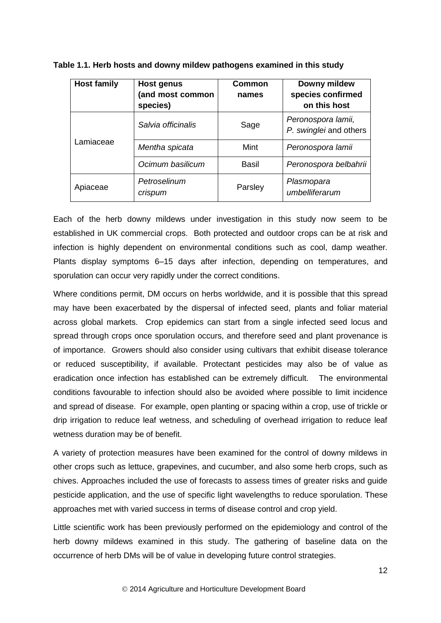| <b>Host family</b> | Host genus<br>(and most common<br>species) | <b>Common</b><br>names | Downy mildew<br>species confirmed<br>on this host |
|--------------------|--------------------------------------------|------------------------|---------------------------------------------------|
| Lamiaceae          | Salvia officinalis                         | Sage                   | Peronospora lamii,<br>P. swinglei and others      |
|                    | Mentha spicata                             | Mint                   | Peronospora lamii                                 |
|                    | Ocimum basilicum                           | Basil                  | Peronospora belbahrii                             |
| Apiaceae           | Petroselinum<br>crispum                    | Parsley                | Plasmopara<br>umbelliferarum                      |

**Table 1.1. Herb hosts and downy mildew pathogens examined in this study**

Each of the herb downy mildews under investigation in this study now seem to be established in UK commercial crops. Both protected and outdoor crops can be at risk and infection is highly dependent on environmental conditions such as cool, damp weather. Plants display symptoms 6–15 days after infection, depending on temperatures, and sporulation can occur very rapidly under the correct conditions.

Where conditions permit, DM occurs on herbs worldwide, and it is possible that this spread may have been exacerbated by the dispersal of infected seed, plants and foliar material across global markets. Crop epidemics can start from a single infected seed locus and spread through crops once sporulation occurs, and therefore seed and plant provenance is of importance. Growers should also consider using cultivars that exhibit disease tolerance or reduced susceptibility, if available. Protectant pesticides may also be of value as eradication once infection has established can be extremely difficult. The environmental conditions favourable to infection should also be avoided where possible to limit incidence and spread of disease. For example, open planting or spacing within a crop, use of trickle or drip irrigation to reduce leaf wetness, and scheduling of overhead irrigation to reduce leaf wetness duration may be of benefit.

A variety of protection measures have been examined for the control of downy mildews in other crops such as lettuce, grapevines, and cucumber, and also some herb crops, such as chives. Approaches included the use of forecasts to assess times of greater risks and guide pesticide application, and the use of specific light wavelengths to reduce sporulation. These approaches met with varied success in terms of disease control and crop yield.

Little scientific work has been previously performed on the epidemiology and control of the herb downy mildews examined in this study. The gathering of baseline data on the occurrence of herb DMs will be of value in developing future control strategies.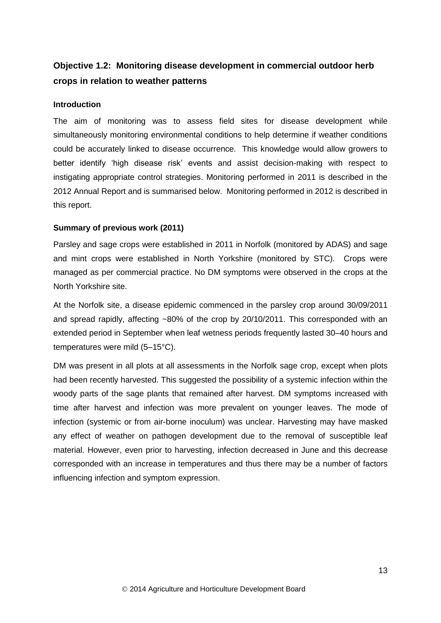# <span id="page-13-0"></span>**Objective 1.2: Monitoring disease development in commercial outdoor herb crops in relation to weather patterns**

### **Introduction**

The aim of monitoring was to assess field sites for disease development while simultaneously monitoring environmental conditions to help determine if weather conditions could be accurately linked to disease occurrence. This knowledge would allow growers to better identify 'high disease risk' events and assist decision-making with respect to instigating appropriate control strategies. Monitoring performed in 2011 is described in the 2012 Annual Report and is summarised below. Monitoring performed in 2012 is described in this report.

### **Summary of previous work (2011)**

Parsley and sage crops were established in 2011 in Norfolk (monitored by ADAS) and sage and mint crops were established in North Yorkshire (monitored by STC). Crops were managed as per commercial practice. No DM symptoms were observed in the crops at the North Yorkshire site.

At the Norfolk site, a disease epidemic commenced in the parsley crop around 30/09/2011 and spread rapidly, affecting ~80% of the crop by 20/10/2011. This corresponded with an extended period in September when leaf wetness periods frequently lasted 30–40 hours and temperatures were mild (5–15°C).

DM was present in all plots at all assessments in the Norfolk sage crop, except when plots had been recently harvested. This suggested the possibility of a systemic infection within the woody parts of the sage plants that remained after harvest. DM symptoms increased with time after harvest and infection was more prevalent on younger leaves. The mode of infection (systemic or from air-borne inoculum) was unclear. Harvesting may have masked any effect of weather on pathogen development due to the removal of susceptible leaf material. However, even prior to harvesting, infection decreased in June and this decrease corresponded with an increase in temperatures and thus there may be a number of factors influencing infection and symptom expression.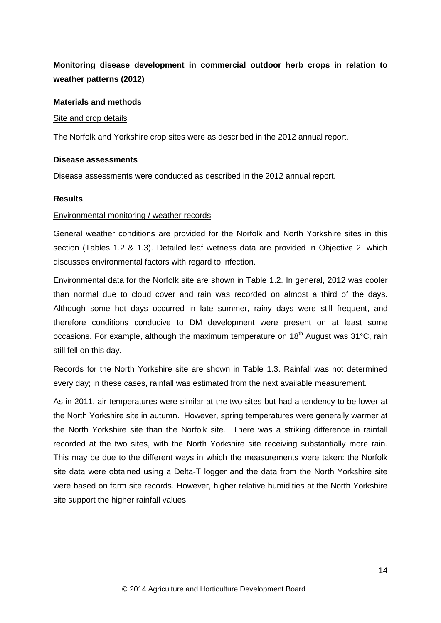# **Monitoring disease development in commercial outdoor herb crops in relation to weather patterns (2012)**

### **Materials and methods**

#### Site and crop details

The Norfolk and Yorkshire crop sites were as described in the 2012 annual report.

#### **Disease assessments**

Disease assessments were conducted as described in the 2012 annual report.

### **Results**

#### Environmental monitoring / weather records

General weather conditions are provided for the Norfolk and North Yorkshire sites in this section (Tables 1.2 & 1.3). Detailed leaf wetness data are provided in Objective 2, which discusses environmental factors with regard to infection.

Environmental data for the Norfolk site are shown in Table 1.2. In general, 2012 was cooler than normal due to cloud cover and rain was recorded on almost a third of the days. Although some hot days occurred in late summer, rainy days were still frequent, and therefore conditions conducive to DM development were present on at least some occasions. For example, although the maximum temperature on  $18<sup>th</sup>$  August was  $31<sup>°</sup>C$ , rain still fell on this day.

Records for the North Yorkshire site are shown in Table 1.3. Rainfall was not determined every day; in these cases, rainfall was estimated from the next available measurement.

As in 2011, air temperatures were similar at the two sites but had a tendency to be lower at the North Yorkshire site in autumn. However, spring temperatures were generally warmer at the North Yorkshire site than the Norfolk site. There was a striking difference in rainfall recorded at the two sites, with the North Yorkshire site receiving substantially more rain. This may be due to the different ways in which the measurements were taken: the Norfolk site data were obtained using a Delta-T logger and the data from the North Yorkshire site were based on farm site records. However, higher relative humidities at the North Yorkshire site support the higher rainfall values.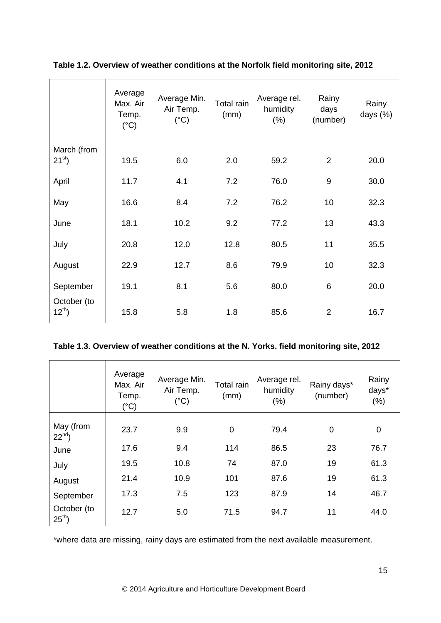|                            | Average<br>Max. Air<br>Temp.<br>$(^{\circ}C)$ | Average Min.<br>Air Temp.<br>$(^{\circ}C)$ | Total rain<br>(mm) | Average rel.<br>humidity<br>$(\% )$ | Rainy<br>days<br>(number) | Rainy<br>days $(\%)$ |
|----------------------------|-----------------------------------------------|--------------------------------------------|--------------------|-------------------------------------|---------------------------|----------------------|
| March (from<br>$21^{st}$   | 19.5                                          | 6.0                                        | 2.0                | 59.2                                | $\overline{2}$            | 20.0                 |
| April                      | 11.7                                          | 4.1                                        | 7.2                | 76.0                                | 9                         | 30.0                 |
| May                        | 16.6                                          | 8.4                                        | 7.2                | 76.2                                | 10                        | 32.3                 |
| June                       | 18.1                                          | 10.2                                       | 9.2                | 77.2                                | 13                        | 43.3                 |
| July                       | 20.8                                          | 12.0                                       | 12.8               | 80.5                                | 11                        | 35.5                 |
| August                     | 22.9                                          | 12.7                                       | 8.6                | 79.9                                | 10                        | 32.3                 |
| September                  | 19.1                                          | 8.1                                        | 5.6                | 80.0                                | 6                         | 20.0                 |
| October (to<br>$12^{th}$ ) | 15.8                                          | 5.8                                        | 1.8                | 85.6                                | $\overline{2}$            | 16.7                 |

## **Table 1.2. Overview of weather conditions at the Norfolk field monitoring site, 2012**

## **Table 1.3. Overview of weather conditions at the N. Yorks. field monitoring site, 2012**

|                            | Average<br>Max. Air<br>Temp.<br>$(^{\circ}C)$ | Average Min.<br>Air Temp.<br>$(^{\circ}C)$ | <b>Total rain</b><br>(mm) | Average rel.<br>humidity<br>(% ) | Rainy days*<br>(number) | Rainy<br>days*<br>(% ) |
|----------------------------|-----------------------------------------------|--------------------------------------------|---------------------------|----------------------------------|-------------------------|------------------------|
| May (from<br>$22^{nd}$ )   | 23.7                                          | 9.9                                        | $\mathbf 0$               | 79.4                             | $\mathbf 0$             | 0                      |
| June                       | 17.6                                          | 9.4                                        | 114                       | 86.5                             | 23                      | 76.7                   |
| July                       | 19.5                                          | 10.8                                       | 74                        | 87.0                             | 19                      | 61.3                   |
| August                     | 21.4                                          | 10.9                                       | 101                       | 87.6                             | 19                      | 61.3                   |
| September                  | 17.3                                          | 7.5                                        | 123                       | 87.9                             | 14                      | 46.7                   |
| October (to<br>$25^{th}$ ) | 12.7                                          | 5.0                                        | 71.5                      | 94.7                             | 11                      | 44.0                   |

\*where data are missing, rainy days are estimated from the next available measurement.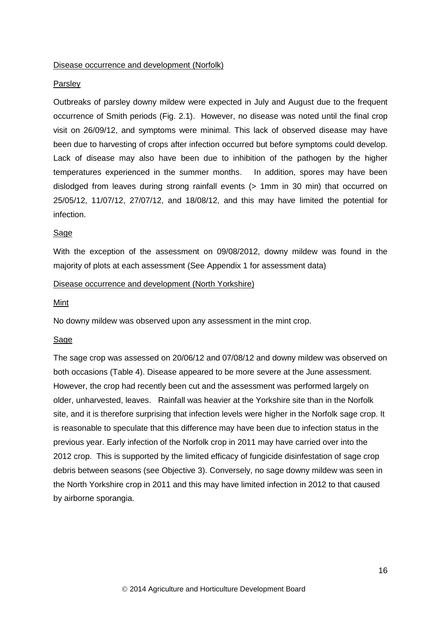### Disease occurrence and development (Norfolk)

#### Parsley

Outbreaks of parsley downy mildew were expected in July and August due to the frequent occurrence of Smith periods (Fig. 2.1). However, no disease was noted until the final crop visit on 26/09/12, and symptoms were minimal. This lack of observed disease may have been due to harvesting of crops after infection occurred but before symptoms could develop. Lack of disease may also have been due to inhibition of the pathogen by the higher temperatures experienced in the summer months. In addition, spores may have been dislodged from leaves during strong rainfall events (> 1mm in 30 min) that occurred on 25/05/12, 11/07/12, 27/07/12, and 18/08/12, and this may have limited the potential for infection.

### Sage

With the exception of the assessment on 09/08/2012, downy mildew was found in the majority of plots at each assessment (See Appendix 1 for assessment data)

### Disease occurrence and development (North Yorkshire)

#### Mint

No downy mildew was observed upon any assessment in the mint crop.

### Sage

The sage crop was assessed on 20/06/12 and 07/08/12 and downy mildew was observed on both occasions (Table 4). Disease appeared to be more severe at the June assessment. However, the crop had recently been cut and the assessment was performed largely on older, unharvested, leaves. Rainfall was heavier at the Yorkshire site than in the Norfolk site, and it is therefore surprising that infection levels were higher in the Norfolk sage crop. It is reasonable to speculate that this difference may have been due to infection status in the previous year. Early infection of the Norfolk crop in 2011 may have carried over into the 2012 crop. This is supported by the limited efficacy of fungicide disinfestation of sage crop debris between seasons (see Objective 3). Conversely, no sage downy mildew was seen in the North Yorkshire crop in 2011 and this may have limited infection in 2012 to that caused by airborne sporangia.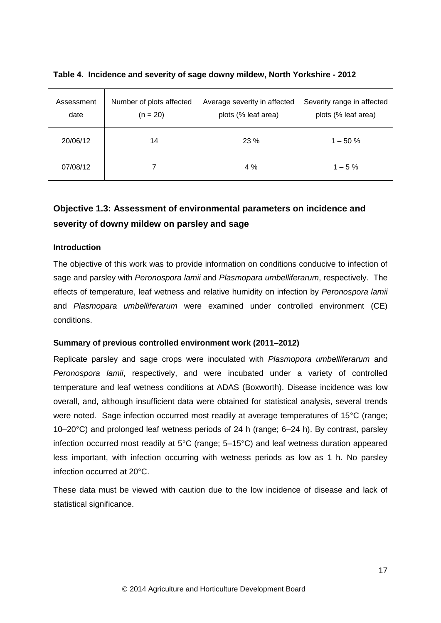| Assessment<br>date | Number of plots affected<br>$(n = 20)$ | Average severity in affected<br>plots (% leaf area) | Severity range in affected<br>plots (% leaf area) |
|--------------------|----------------------------------------|-----------------------------------------------------|---------------------------------------------------|
| 20/06/12           | 14                                     | 23%                                                 | $1 - 50\%$                                        |
| 07/08/12           |                                        | 4 %                                                 | $1 - 5\%$                                         |

### **Table 4. Incidence and severity of sage downy mildew, North Yorkshire - 2012**

# <span id="page-17-0"></span>**Objective 1.3: Assessment of environmental parameters on incidence and severity of downy mildew on parsley and sage**

### **Introduction**

The objective of this work was to provide information on conditions conducive to infection of sage and parsley with *Peronospora lamii* and *Plasmopara umbelliferarum*, respectively. The effects of temperature, leaf wetness and relative humidity on infection by *Peronospora lamii* and *Plasmopara umbelliferarum* were examined under controlled environment (CE) conditions.

#### **Summary of previous controlled environment work (2011–2012)**

Replicate parsley and sage crops were inoculated with *Plasmopora umbelliferarum* and *Peronospora lamii*, respectively, and were incubated under a variety of controlled temperature and leaf wetness conditions at ADAS (Boxworth). Disease incidence was low overall, and, although insufficient data were obtained for statistical analysis, several trends were noted. Sage infection occurred most readily at average temperatures of 15°C (range; 10–20°C) and prolonged leaf wetness periods of 24 h (range; 6–24 h). By contrast, parsley infection occurred most readily at 5°C (range; 5–15°C) and leaf wetness duration appeared less important, with infection occurring with wetness periods as low as 1 h. No parsley infection occurred at 20°C.

These data must be viewed with caution due to the low incidence of disease and lack of statistical significance.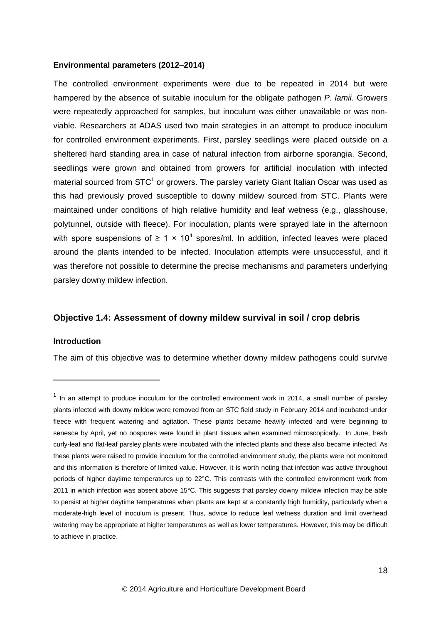### **Environmental parameters (2012**–**2014)**

The controlled environment experiments were due to be repeated in 2014 but were hampered by the absence of suitable inoculum for the obligate pathogen *P. lamii*. Growers were repeatedly approached for samples, but inoculum was either unavailable or was nonviable. Researchers at ADAS used two main strategies in an attempt to produce inoculum for controlled environment experiments. First, parsley seedlings were placed outside on a sheltered hard standing area in case of natural infection from airborne sporangia. Second, seedlings were grown and obtained from growers for artificial inoculation with infected material sourced from  $STC<sup>1</sup>$  or growers. The parsley variety Giant Italian Oscar was used as this had previously proved susceptible to downy mildew sourced from STC. Plants were maintained under conditions of high relative humidity and leaf wetness (e.g., glasshouse, polytunnel, outside with fleece). For inoculation, plants were sprayed late in the afternoon with spore suspensions of  $\geq 1 \times 10^4$  spores/ml. In addition, infected leaves were placed around the plants intended to be infected. Inoculation attempts were unsuccessful, and it was therefore not possible to determine the precise mechanisms and parameters underlying parsley downy mildew infection.

### <span id="page-18-0"></span>**Objective 1.4: Assessment of downy mildew survival in soil / crop debris**

#### **Introduction**

-

The aim of this objective was to determine whether downy mildew pathogens could survive

 $1$  In an attempt to produce inoculum for the controlled environment work in 2014, a small number of parsley plants infected with downy mildew were removed from an STC field study in February 2014 and incubated under fleece with frequent watering and agitation. These plants became heavily infected and were beginning to senesce by April, yet no oospores were found in plant tissues when examined microscopically. In June, fresh curly-leaf and flat-leaf parsley plants were incubated with the infected plants and these also became infected. As these plants were raised to provide inoculum for the controlled environment study, the plants were not monitored and this information is therefore of limited value. However, it is worth noting that infection was active throughout periods of higher daytime temperatures up to 22°C. This contrasts with the controlled environment work from 2011 in which infection was absent above 15°C. This suggests that parsley downy mildew infection may be able to persist at higher daytime temperatures when plants are kept at a constantly high humidity, particularly when a moderate-high level of inoculum is present. Thus, advice to reduce leaf wetness duration and limit overhead watering may be appropriate at higher temperatures as well as lower temperatures. However, this may be difficult to achieve in practice.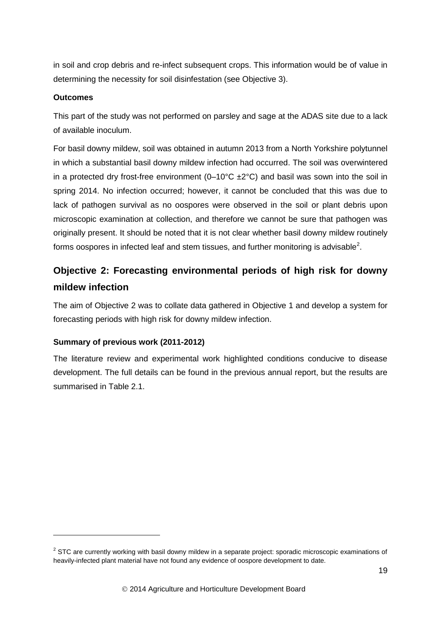in soil and crop debris and re-infect subsequent crops. This information would be of value in determining the necessity for soil disinfestation (see Objective 3).

## **Outcomes**

-

This part of the study was not performed on parsley and sage at the ADAS site due to a lack of available inoculum.

For basil downy mildew, soil was obtained in autumn 2013 from a North Yorkshire polytunnel in which a substantial basil downy mildew infection had occurred. The soil was overwintered in a protected dry frost-free environment  $(0-10^{\circ}C \pm 2^{\circ}C)$  and basil was sown into the soil in spring 2014. No infection occurred; however, it cannot be concluded that this was due to lack of pathogen survival as no oospores were observed in the soil or plant debris upon microscopic examination at collection, and therefore we cannot be sure that pathogen was originally present. It should be noted that it is not clear whether basil downy mildew routinely forms oospores in infected leaf and stem tissues, and further monitoring is advisable<sup>2</sup>.

# <span id="page-19-0"></span>**Objective 2: Forecasting environmental periods of high risk for downy mildew infection**

The aim of Objective 2 was to collate data gathered in Objective 1 and develop a system for forecasting periods with high risk for downy mildew infection.

## **Summary of previous work (2011-2012)**

The literature review and experimental work highlighted conditions conducive to disease development. The full details can be found in the previous annual report, but the results are summarised in Table 2.1.

 $2$  STC are currently working with basil downy mildew in a separate project: sporadic microscopic examinations of heavily-infected plant material have not found any evidence of oospore development to date.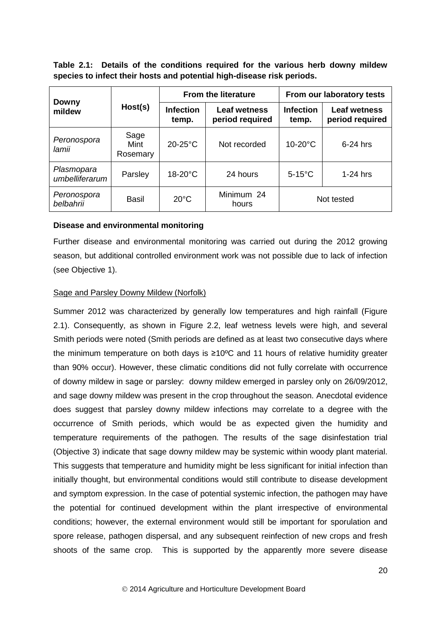**Table 2.1: Details of the conditions required for the various herb downy mildew species to infect their hosts and potential high-disease risk periods.**

|                              | Host(s)                  |                           | <b>From the literature</b>             | From our laboratory tests |                                        |
|------------------------------|--------------------------|---------------------------|----------------------------------------|---------------------------|----------------------------------------|
| <b>Downy</b><br>mildew       |                          | <b>Infection</b><br>temp. | <b>Leaf wetness</b><br>period required | <b>Infection</b><br>temp. | <b>Leaf wetness</b><br>period required |
| Peronospora<br>lamii         | Sage<br>Mint<br>Rosemary | $20-25$ °C                | Not recorded                           | $10-20$ °C                | $6-24$ hrs                             |
| Plasmopara<br>umbelliferarum | Parsley                  | $18-20$ °C                | 24 hours                               | $5-15^{\circ}$ C          | $1-24$ hrs                             |
| Peronospora<br>belbahrii     | Basil                    | $20^{\circ}$ C            | Minimum 24<br>hours                    |                           | Not tested                             |

### **Disease and environmental monitoring**

Further disease and environmental monitoring was carried out during the 2012 growing season, but additional controlled environment work was not possible due to lack of infection (see Objective 1).

### Sage and Parsley Downy Mildew (Norfolk)

Summer 2012 was characterized by generally low temperatures and high rainfall (Figure 2.1). Consequently, as shown in Figure 2.2, leaf wetness levels were high, and several Smith periods were noted (Smith periods are defined as at least two consecutive days where the minimum temperature on both days is ≥10ºC and 11 hours of relative humidity greater than 90% occur). However, these climatic conditions did not fully correlate with occurrence of downy mildew in sage or parsley: downy mildew emerged in parsley only on 26/09/2012, and sage downy mildew was present in the crop throughout the season. Anecdotal evidence does suggest that parsley downy mildew infections may correlate to a degree with the occurrence of Smith periods, which would be as expected given the humidity and temperature requirements of the pathogen. The results of the sage disinfestation trial (Objective 3) indicate that sage downy mildew may be systemic within woody plant material. This suggests that temperature and humidity might be less significant for initial infection than initially thought, but environmental conditions would still contribute to disease development and symptom expression. In the case of potential systemic infection, the pathogen may have the potential for continued development within the plant irrespective of environmental conditions; however, the external environment would still be important for sporulation and spore release, pathogen dispersal, and any subsequent reinfection of new crops and fresh shoots of the same crop. This is supported by the apparently more severe disease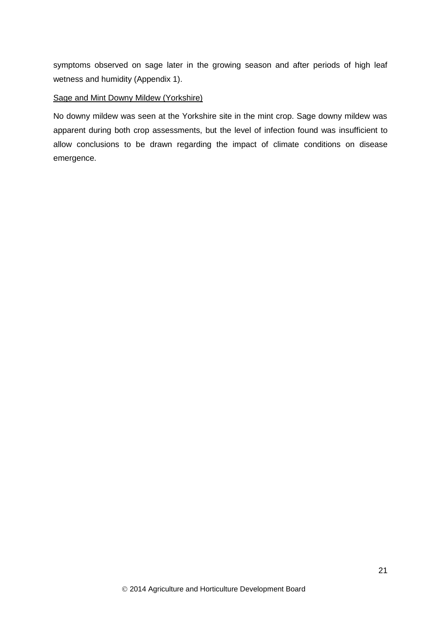symptoms observed on sage later in the growing season and after periods of high leaf wetness and humidity (Appendix 1).

## Sage and Mint Downy Mildew (Yorkshire)

No downy mildew was seen at the Yorkshire site in the mint crop. Sage downy mildew was apparent during both crop assessments, but the level of infection found was insufficient to allow conclusions to be drawn regarding the impact of climate conditions on disease emergence.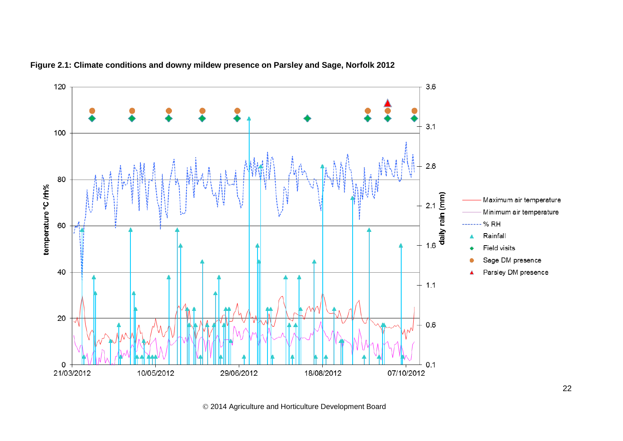

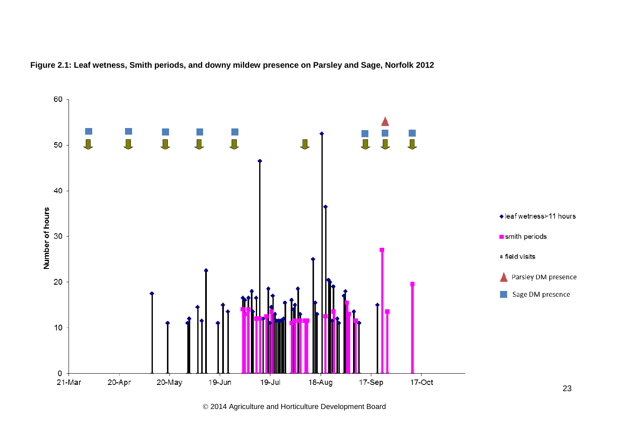

**Figure 2.1: Leaf wetness, Smith periods, and downy mildew presence on Parsley and Sage, Norfolk 2012**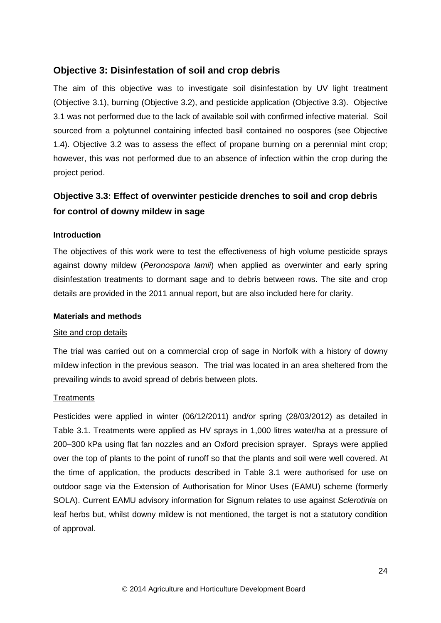## <span id="page-24-0"></span>**Objective 3: Disinfestation of soil and crop debris**

The aim of this objective was to investigate soil disinfestation by UV light treatment (Objective 3.1), burning (Objective 3.2), and pesticide application (Objective 3.3). Objective 3.1 was not performed due to the lack of available soil with confirmed infective material. Soil sourced from a polytunnel containing infected basil contained no oospores (see Objective 1.4). Objective 3.2 was to assess the effect of propane burning on a perennial mint crop; however, this was not performed due to an absence of infection within the crop during the project period.

# <span id="page-24-1"></span>**Objective 3.3: Effect of overwinter pesticide drenches to soil and crop debris for control of downy mildew in sage**

### **Introduction**

The objectives of this work were to test the effectiveness of high volume pesticide sprays against downy mildew (*Peronospora lamii*) when applied as overwinter and early spring disinfestation treatments to dormant sage and to debris between rows. The site and crop details are provided in the 2011 annual report, but are also included here for clarity.

### **Materials and methods**

### Site and crop details

The trial was carried out on a commercial crop of sage in Norfolk with a history of downy mildew infection in the previous season. The trial was located in an area sheltered from the prevailing winds to avoid spread of debris between plots.

### **Treatments**

Pesticides were applied in winter (06/12/2011) and/or spring (28/03/2012) as detailed in Table 3.1. Treatments were applied as HV sprays in 1,000 litres water/ha at a pressure of 200–300 kPa using flat fan nozzles and an Oxford precision sprayer. Sprays were applied over the top of plants to the point of runoff so that the plants and soil were well covered. At the time of application, the products described in Table 3.1 were authorised for use on outdoor sage via the Extension of Authorisation for Minor Uses (EAMU) scheme (formerly SOLA). Current EAMU advisory information for Signum relates to use against *Sclerotinia* on leaf herbs but, whilst downy mildew is not mentioned, the target is not a statutory condition of approval.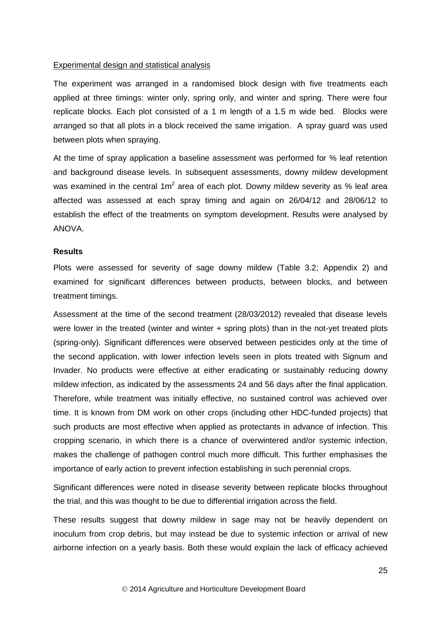### Experimental design and statistical analysis

The experiment was arranged in a randomised block design with five treatments each applied at three timings: winter only, spring only, and winter and spring. There were four replicate blocks. Each plot consisted of a 1 m length of a 1.5 m wide bed. Blocks were arranged so that all plots in a block received the same irrigation. A spray guard was used between plots when spraying.

At the time of spray application a baseline assessment was performed for % leaf retention and background disease levels. In subsequent assessments, downy mildew development was examined in the central 1m<sup>2</sup> area of each plot. Downy mildew severity as % leaf area affected was assessed at each spray timing and again on 26/04/12 and 28/06/12 to establish the effect of the treatments on symptom development. Results were analysed by ANOVA.

### **Results**

Plots were assessed for severity of sage downy mildew (Table 3.2; Appendix 2) and examined for significant differences between products, between blocks, and between treatment timings.

Assessment at the time of the second treatment (28/03/2012) revealed that disease levels were lower in the treated (winter and winter + spring plots) than in the not-yet treated plots (spring-only). Significant differences were observed between pesticides only at the time of the second application, with lower infection levels seen in plots treated with Signum and Invader. No products were effective at either eradicating or sustainably reducing downy mildew infection, as indicated by the assessments 24 and 56 days after the final application. Therefore, while treatment was initially effective, no sustained control was achieved over time. It is known from DM work on other crops (including other HDC-funded projects) that such products are most effective when applied as protectants in advance of infection. This cropping scenario, in which there is a chance of overwintered and/or systemic infection, makes the challenge of pathogen control much more difficult. This further emphasises the importance of early action to prevent infection establishing in such perennial crops.

Significant differences were noted in disease severity between replicate blocks throughout the trial, and this was thought to be due to differential irrigation across the field.

These results suggest that downy mildew in sage may not be heavily dependent on inoculum from crop debris, but may instead be due to systemic infection or arrival of new airborne infection on a yearly basis. Both these would explain the lack of efficacy achieved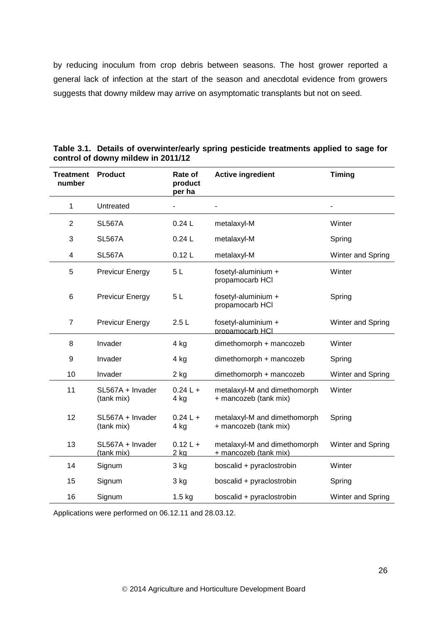by reducing inoculum from crop debris between seasons. The host grower reported a general lack of infection at the start of the season and anecdotal evidence from growers suggests that downy mildew may arrive on asymptomatic transplants but not on seed.

| <b>Treatment</b><br>number | <b>Product</b>                 | Rate of<br>product<br>per ha | <b>Active ingredient</b>                              | <b>Timing</b>     |
|----------------------------|--------------------------------|------------------------------|-------------------------------------------------------|-------------------|
| 1                          | Untreated                      |                              |                                                       |                   |
| $\overline{2}$             | <b>SL567A</b>                  | 0.24L                        | metalaxyl-M                                           | Winter            |
| 3                          | <b>SL567A</b>                  | 0.24L                        | metalaxyl-M                                           | Spring            |
| 4                          | <b>SL567A</b>                  | 0.12L                        | metalaxyl-M                                           | Winter and Spring |
| 5                          | <b>Previcur Energy</b>         | 5L                           | fosetyl-aluminium +<br>propamocarb HCI                | Winter            |
| 6                          | <b>Previcur Energy</b>         | 5L                           | fosetyl-aluminium +<br>propamocarb HCI                | Spring            |
| $\overline{7}$             | <b>Previcur Energy</b>         | 2.5L                         | fosetyl-aluminium +<br>propamocarb HCI                | Winter and Spring |
| 8                          | Invader                        | 4 kg                         | dimethomorph + mancozeb                               | Winter            |
| 9                          | Invader                        | 4 kg                         | dimethomorph + mancozeb                               | Spring            |
| 10                         | Invader                        | 2 kg                         | dimethomorph + mancozeb                               | Winter and Spring |
| 11                         | SL567A + Invader<br>(tank mix) | $0.24 L +$<br>4 kg           | metalaxyl-M and dimethomorph<br>+ mancozeb (tank mix) | Winter            |
| 12                         | SL567A + Invader<br>(tank mix) | $0.24 L +$<br>4 kg           | metalaxyl-M and dimethomorph<br>+ mancozeb (tank mix) | Spring            |
| 13                         | SL567A + Invader<br>(tank mix) | $0.12 L +$<br>$2$ kg         | metalaxyl-M and dimethomorph<br>+ mancozeb (tank mix) | Winter and Spring |
| 14                         | Signum                         | 3 kg                         | boscalid + pyraclostrobin                             | Winter            |
| 15                         | Signum                         | 3 kg                         | boscalid + pyraclostrobin                             | Spring            |
| 16                         | Signum                         | $1.5$ kg                     | boscalid + pyraclostrobin                             | Winter and Spring |

| Table 3.1. Details of overwinter/early spring pesticide treatments applied to sage for |
|----------------------------------------------------------------------------------------|
| control of downy mildew in 2011/12                                                     |

Applications were performed on 06.12.11 and 28.03.12.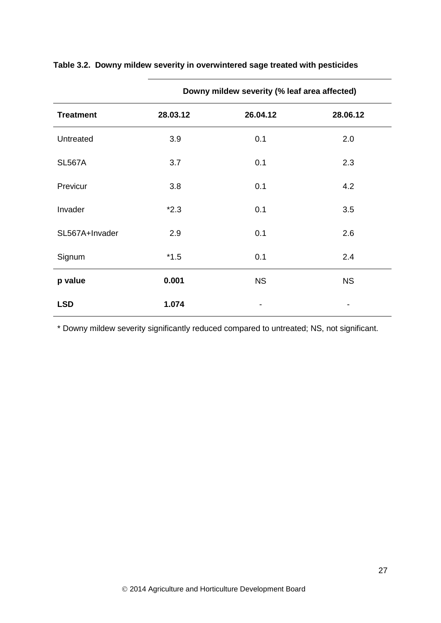|                  | Downy mildew severity (% leaf area affected) |           |           |  |
|------------------|----------------------------------------------|-----------|-----------|--|
| <b>Treatment</b> | 28.03.12                                     | 26.04.12  | 28.06.12  |  |
| Untreated        | 3.9                                          | 0.1       | 2.0       |  |
| <b>SL567A</b>    | 3.7                                          | 0.1       | 2.3       |  |
| Previcur         | 3.8                                          | 0.1       | 4.2       |  |
| Invader          | $*2.3$                                       | 0.1       | 3.5       |  |
| SL567A+Invader   | 2.9                                          | 0.1       | 2.6       |  |
| Signum           | $*1.5$                                       | 0.1       | 2.4       |  |
| p value          | 0.001                                        | <b>NS</b> | <b>NS</b> |  |
| <b>LSD</b>       | 1.074                                        |           |           |  |

## **Table 3.2. Downy mildew severity in overwintered sage treated with pesticides**

\* Downy mildew severity significantly reduced compared to untreated; NS, not significant.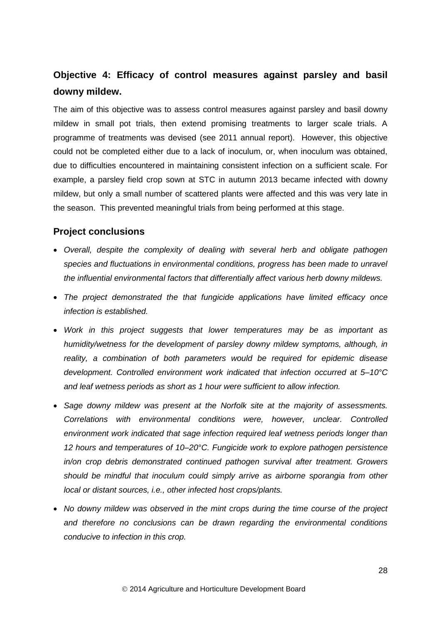# <span id="page-28-0"></span>**Objective 4: Efficacy of control measures against parsley and basil downy mildew.**

The aim of this objective was to assess control measures against parsley and basil downy mildew in small pot trials, then extend promising treatments to larger scale trials. A programme of treatments was devised (see 2011 annual report). However, this objective could not be completed either due to a lack of inoculum, or, when inoculum was obtained, due to difficulties encountered in maintaining consistent infection on a sufficient scale. For example, a parsley field crop sown at STC in autumn 2013 became infected with downy mildew, but only a small number of scattered plants were affected and this was very late in the season. This prevented meaningful trials from being performed at this stage.

## <span id="page-28-1"></span>**Project conclusions**

- *Overall, despite the complexity of dealing with several herb and obligate pathogen species and fluctuations in environmental conditions, progress has been made to unravel the influential environmental factors that differentially affect various herb downy mildews.*
- *The project demonstrated the that fungicide applications have limited efficacy once infection is established.*
- *Work in this project suggests that lower temperatures may be as important as humidity/wetness for the development of parsley downy mildew symptoms, although, in reality, a combination of both parameters would be required for epidemic disease development. Controlled environment work indicated that infection occurred at 5–10°C and leaf wetness periods as short as 1 hour were sufficient to allow infection.*
- *Sage downy mildew was present at the Norfolk site at the majority of assessments. Correlations with environmental conditions were, however, unclear. Controlled environment work indicated that sage infection required leaf wetness periods longer than 12 hours and temperatures of 10–20°C. Fungicide work to explore pathogen persistence in/on crop debris demonstrated continued pathogen survival after treatment. Growers should be mindful that inoculum could simply arrive as airborne sporangia from other local or distant sources, i.e., other infected host crops/plants.*
- *No downy mildew was observed in the mint crops during the time course of the project and therefore no conclusions can be drawn regarding the environmental conditions conducive to infection in this crop.*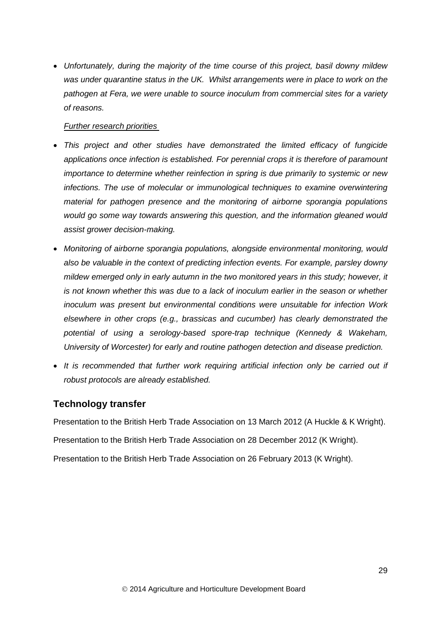*Unfortunately, during the majority of the time course of this project, basil downy mildew was under quarantine status in the UK. Whilst arrangements were in place to work on the pathogen at Fera, we were unable to source inoculum from commercial sites for a variety of reasons.*

### *Further research priorities*

- *This project and other studies have demonstrated the limited efficacy of fungicide applications once infection is established. For perennial crops it is therefore of paramount importance to determine whether reinfection in spring is due primarily to systemic or new infections. The use of molecular or immunological techniques to examine overwintering material for pathogen presence and the monitoring of airborne sporangia populations would go some way towards answering this question, and the information gleaned would assist grower decision-making.*
- *Monitoring of airborne sporangia populations, alongside environmental monitoring, would also be valuable in the context of predicting infection events. For example, parsley downy mildew emerged only in early autumn in the two monitored years in this study; however, it is not known whether this was due to a lack of inoculum earlier in the season or whether inoculum was present but environmental conditions were unsuitable for infection Work elsewhere in other crops (e.g., brassicas and cucumber) has clearly demonstrated the potential of using a serology-based spore-trap technique (Kennedy & Wakeham, University of Worcester) for early and routine pathogen detection and disease prediction.*
- It is recommended that further work requiring artificial infection only be carried out if *robust protocols are already established.*

## <span id="page-29-0"></span>**Technology transfer**

Presentation to the British Herb Trade Association on 13 March 2012 (A Huckle & K Wright).

Presentation to the British Herb Trade Association on 28 December 2012 (K Wright).

<span id="page-29-1"></span>Presentation to the British Herb Trade Association on 26 February 2013 (K Wright).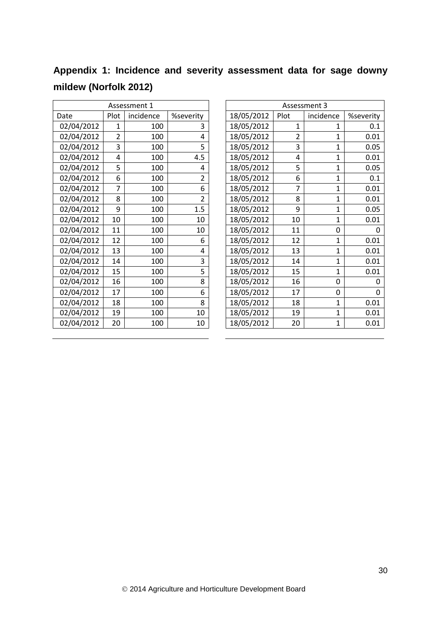|                       |  |  | Appendix 1: Incidence and severity assessment data for sage downy |  |  |
|-----------------------|--|--|-------------------------------------------------------------------|--|--|
| mildew (Norfolk 2012) |  |  |                                                                   |  |  |

| Assessment 1 |      |           |                |  |  |  |  |  |  |
|--------------|------|-----------|----------------|--|--|--|--|--|--|
| Date         | Plot | incidence | %severity      |  |  |  |  |  |  |
| 02/04/2012   | 1    | 100       | 3              |  |  |  |  |  |  |
| 02/04/2012   | 2    | 100       | 4              |  |  |  |  |  |  |
| 02/04/2012   | 3    | 100       | 5              |  |  |  |  |  |  |
| 02/04/2012   | 4    | 100       | 4.5            |  |  |  |  |  |  |
| 02/04/2012   | 5    | 100       | 4              |  |  |  |  |  |  |
| 02/04/2012   | 6    | 100       | 2              |  |  |  |  |  |  |
| 02/04/2012   | 7    | 100       | 6              |  |  |  |  |  |  |
| 02/04/2012   | 8    | 100       | $\overline{2}$ |  |  |  |  |  |  |
| 02/04/2012   | ٩    | 100       | 1.5            |  |  |  |  |  |  |
| 02/04/2012   | 10   | 100       | 10             |  |  |  |  |  |  |
| 02/04/2012   | 11   | 100       | 10             |  |  |  |  |  |  |
| 02/04/2012   | 12   | 100       | 6              |  |  |  |  |  |  |
| 02/04/2012   | 13   | 100       | 4              |  |  |  |  |  |  |
| 02/04/2012   | 14   | 100       | 3              |  |  |  |  |  |  |
| 02/04/2012   | 15   | 100       | 5              |  |  |  |  |  |  |
| 02/04/2012   | 16   | 100       | 8              |  |  |  |  |  |  |
| 02/04/2012   | 17   | 100       | 6              |  |  |  |  |  |  |
| 02/04/2012   | 18   | 100       | 8              |  |  |  |  |  |  |
| 02/04/2012   | 19   | 100       | 10             |  |  |  |  |  |  |
| 02/04/2012   | 20   | 100       | 10             |  |  |  |  |  |  |

|            |                | Assessment 1 |                |            |                | Assessment 3   |           |
|------------|----------------|--------------|----------------|------------|----------------|----------------|-----------|
| Date       | Plot           | incidence    | %severity      | 18/05/2012 | Plot           | incidence      | %severity |
| 02/04/2012 | 1              | 100          | 3              | 18/05/2012 | 1              | 1              | 0.1       |
| 02/04/2012 | $\overline{2}$ | 100          | 4              | 18/05/2012 | $\overline{2}$ | 1              | 0.01      |
| 02/04/2012 | 3              | 100          | 5              | 18/05/2012 | 3              | $\mathbf{1}$   | 0.05      |
| 02/04/2012 | 4              | 100          | 4.5            | 18/05/2012 | 4              | $\overline{1}$ | 0.01      |
| 02/04/2012 | 5              | 100          | 4              | 18/05/2012 | 5              | $\mathbf{1}$   | 0.05      |
| 02/04/2012 | 6              | 100          | $\overline{2}$ | 18/05/2012 | 6              | $\mathbf{1}$   | 0.1       |
| 02/04/2012 | $\overline{7}$ | 100          | 6              | 18/05/2012 | 7              | 1              | 0.01      |
| 02/04/2012 | 8              | 100          | 2              | 18/05/2012 | 8              | $\mathbf{1}$   | 0.01      |
| 02/04/2012 | 9              | 100          | 1.5            | 18/05/2012 | 9              | $\mathbf{1}$   | 0.05      |
| 02/04/2012 | 10             | 100          | 10             | 18/05/2012 | 10             | $\mathbf{1}$   | 0.01      |
| 02/04/2012 | 11             | 100          | 10             | 18/05/2012 | 11             | 0              | $\Omega$  |
| 02/04/2012 | 12             | 100          | 6              | 18/05/2012 | 12             | $\overline{1}$ | 0.01      |
| 02/04/2012 | 13             | 100          | 4              | 18/05/2012 | 13             | $\mathbf{1}$   | 0.01      |
| 02/04/2012 | 14             | 100          | 3              | 18/05/2012 | 14             | $\mathbf{1}$   | 0.01      |
| 02/04/2012 | 15             | 100          | 5              | 18/05/2012 | 15             | $\overline{1}$ | 0.01      |
| 02/04/2012 | 16             | 100          | 8              | 18/05/2012 | 16             | $\mathbf 0$    | $\Omega$  |
| 02/04/2012 | 17             | 100          | 6              | 18/05/2012 | 17             | 0              | $\Omega$  |
| 02/04/2012 | 18             | 100          | 8              | 18/05/2012 | 18             | $\mathbf{1}$   | 0.01      |
| 02/04/2012 | 19             | 100          | 10             | 18/05/2012 | 19             | $\mathbf{1}$   | 0.01      |
| 02/04/2012 | 20             | 100          | 10             | 18/05/2012 | 20             | $\mathbf{1}$   | 0.01      |
|            |                |              |                |            |                |                |           |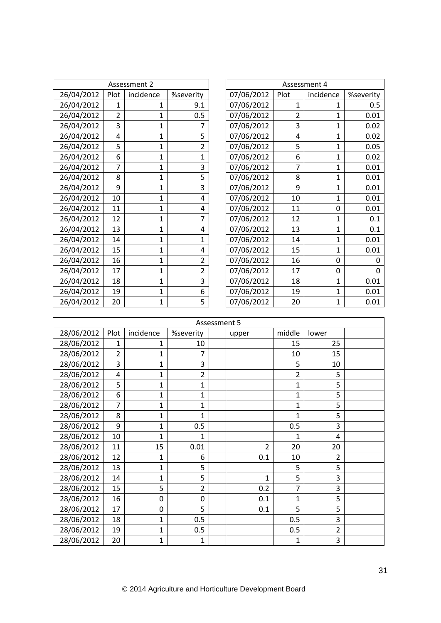| Assessment 2<br>Assessment 4<br>26/04/2012<br>07/06/2012<br>incidence<br>%severity<br>Plot<br>incidence<br>Plot<br>26/04/2012<br>07/06/2012<br>$\mathbf{1}$<br>9.1<br>1<br>1<br>1<br>26/04/2012<br>$\overline{2}$<br>07/06/2012<br>0.5<br>$\overline{2}$<br>1<br>1<br>26/04/2012<br>07/06/2012<br>3<br>3<br>1<br>7<br>1<br>5<br>26/04/2012<br>07/06/2012<br>4<br>4<br>1<br>1<br>26/04/2012<br>5<br>5<br>$\overline{2}$<br>07/06/2012<br>$\mathbf{1}$<br>1<br>26/04/2012<br>07/06/2012<br>6<br>$\mathbf{1}$<br>6<br>$\mathbf{1}$<br>$\mathbf{1}$<br>26/04/2012<br>$\overline{7}$<br>$\overline{7}$<br>3<br>07/06/2012<br>1<br>1<br>26/04/2012<br>5<br>07/06/2012<br>8<br>8<br>1<br>1<br>26/04/2012<br>07/06/2012<br>9<br>3<br>9<br>1<br>$\mathbf{1}$<br>26/04/2012<br>07/06/2012<br>10<br>1<br>10<br>$\mathbf{1}$<br>4<br>26/04/2012<br>07/06/2012<br>11<br>11<br>1<br>0<br>4<br>26/04/2012<br>07/06/2012<br>12<br>$\overline{7}$<br>12<br>1<br>$\mathbf{1}$<br>26/04/2012<br>07/06/2012<br>13<br>13<br>1<br>$\mathbf{1}$<br>4<br>26/04/2012<br>07/06/2012<br>14<br>$\mathbf{1}$<br>14<br>$\mathbf{1}$<br>1 | %severity<br>0.5<br>0.01<br>0.02<br>0.02<br>0.05<br>0.02 |
|------------------------------------------------------------------------------------------------------------------------------------------------------------------------------------------------------------------------------------------------------------------------------------------------------------------------------------------------------------------------------------------------------------------------------------------------------------------------------------------------------------------------------------------------------------------------------------------------------------------------------------------------------------------------------------------------------------------------------------------------------------------------------------------------------------------------------------------------------------------------------------------------------------------------------------------------------------------------------------------------------------------------------------------------------------------------------------------------------------|----------------------------------------------------------|
|                                                                                                                                                                                                                                                                                                                                                                                                                                                                                                                                                                                                                                                                                                                                                                                                                                                                                                                                                                                                                                                                                                            |                                                          |
|                                                                                                                                                                                                                                                                                                                                                                                                                                                                                                                                                                                                                                                                                                                                                                                                                                                                                                                                                                                                                                                                                                            |                                                          |
|                                                                                                                                                                                                                                                                                                                                                                                                                                                                                                                                                                                                                                                                                                                                                                                                                                                                                                                                                                                                                                                                                                            |                                                          |
|                                                                                                                                                                                                                                                                                                                                                                                                                                                                                                                                                                                                                                                                                                                                                                                                                                                                                                                                                                                                                                                                                                            |                                                          |
|                                                                                                                                                                                                                                                                                                                                                                                                                                                                                                                                                                                                                                                                                                                                                                                                                                                                                                                                                                                                                                                                                                            |                                                          |
|                                                                                                                                                                                                                                                                                                                                                                                                                                                                                                                                                                                                                                                                                                                                                                                                                                                                                                                                                                                                                                                                                                            |                                                          |
|                                                                                                                                                                                                                                                                                                                                                                                                                                                                                                                                                                                                                                                                                                                                                                                                                                                                                                                                                                                                                                                                                                            |                                                          |
|                                                                                                                                                                                                                                                                                                                                                                                                                                                                                                                                                                                                                                                                                                                                                                                                                                                                                                                                                                                                                                                                                                            |                                                          |
|                                                                                                                                                                                                                                                                                                                                                                                                                                                                                                                                                                                                                                                                                                                                                                                                                                                                                                                                                                                                                                                                                                            | 0.01                                                     |
|                                                                                                                                                                                                                                                                                                                                                                                                                                                                                                                                                                                                                                                                                                                                                                                                                                                                                                                                                                                                                                                                                                            | 0.01                                                     |
|                                                                                                                                                                                                                                                                                                                                                                                                                                                                                                                                                                                                                                                                                                                                                                                                                                                                                                                                                                                                                                                                                                            | 0.01                                                     |
|                                                                                                                                                                                                                                                                                                                                                                                                                                                                                                                                                                                                                                                                                                                                                                                                                                                                                                                                                                                                                                                                                                            | 0.01                                                     |
|                                                                                                                                                                                                                                                                                                                                                                                                                                                                                                                                                                                                                                                                                                                                                                                                                                                                                                                                                                                                                                                                                                            | 0.01                                                     |
|                                                                                                                                                                                                                                                                                                                                                                                                                                                                                                                                                                                                                                                                                                                                                                                                                                                                                                                                                                                                                                                                                                            | 0.1                                                      |
|                                                                                                                                                                                                                                                                                                                                                                                                                                                                                                                                                                                                                                                                                                                                                                                                                                                                                                                                                                                                                                                                                                            | 0.1                                                      |
|                                                                                                                                                                                                                                                                                                                                                                                                                                                                                                                                                                                                                                                                                                                                                                                                                                                                                                                                                                                                                                                                                                            | 0.01                                                     |
| 26/04/2012<br>07/06/2012<br>15<br>15<br>$\mathbf{1}$<br>$\mathbf{1}$<br>4                                                                                                                                                                                                                                                                                                                                                                                                                                                                                                                                                                                                                                                                                                                                                                                                                                                                                                                                                                                                                                  | 0.01                                                     |
| 26/04/2012<br>07/06/2012<br>16<br>$\overline{2}$<br>16<br>1<br>0                                                                                                                                                                                                                                                                                                                                                                                                                                                                                                                                                                                                                                                                                                                                                                                                                                                                                                                                                                                                                                           | 0                                                        |
| 26/04/2012<br>07/06/2012<br>17<br>17<br>2<br>1<br>0                                                                                                                                                                                                                                                                                                                                                                                                                                                                                                                                                                                                                                                                                                                                                                                                                                                                                                                                                                                                                                                        | 0                                                        |
| 3<br>26/04/2012<br>07/06/2012<br>18<br>$\mathbf{1}$<br>$\mathbf{1}$<br>18                                                                                                                                                                                                                                                                                                                                                                                                                                                                                                                                                                                                                                                                                                                                                                                                                                                                                                                                                                                                                                  | 0.01                                                     |
| 26/04/2012<br>07/06/2012<br>19<br>19<br>6<br>1<br>$\mathbf{1}$                                                                                                                                                                                                                                                                                                                                                                                                                                                                                                                                                                                                                                                                                                                                                                                                                                                                                                                                                                                                                                             | 0.01                                                     |
| 26/04/2012<br>5<br>07/06/2012<br>20<br>20<br>1<br>1                                                                                                                                                                                                                                                                                                                                                                                                                                                                                                                                                                                                                                                                                                                                                                                                                                                                                                                                                                                                                                                        |                                                          |

| Assessment 4 |      |                |           |  |  |  |  |  |  |  |
|--------------|------|----------------|-----------|--|--|--|--|--|--|--|
| 07/06/2012   | Plot | incidence      | %severity |  |  |  |  |  |  |  |
| 07/06/2012   | 1    | 1              | 0.5       |  |  |  |  |  |  |  |
| 07/06/2012   | 2    | 1              | 0.01      |  |  |  |  |  |  |  |
| 07/06/2012   | 3    | 1              | 0.02      |  |  |  |  |  |  |  |
| 07/06/2012   | 4    | 1              | 0.02      |  |  |  |  |  |  |  |
| 07/06/2012   | 5    | 1              | 0.05      |  |  |  |  |  |  |  |
| 07/06/2012   | 6    | 1              | 0.02      |  |  |  |  |  |  |  |
| 07/06/2012   | 7    | 1              | 0.01      |  |  |  |  |  |  |  |
| 07/06/2012   | 8    | 1              | 0.01      |  |  |  |  |  |  |  |
| 07/06/2012   | 9    | $\mathbf{1}$   | 0.01      |  |  |  |  |  |  |  |
| 07/06/2012   | 10   | 1              | 0.01      |  |  |  |  |  |  |  |
| 07/06/2012   | 11   | 0              | 0.01      |  |  |  |  |  |  |  |
| 07/06/2012   | 12   | $\mathbf{1}$   | 0.1       |  |  |  |  |  |  |  |
| 07/06/2012   | 13   | 1              | 0.1       |  |  |  |  |  |  |  |
| 07/06/2012   | 14   | $\mathbf{1}$   | 0.01      |  |  |  |  |  |  |  |
| 07/06/2012   | 15   | $\overline{1}$ | 0.01      |  |  |  |  |  |  |  |
| 07/06/2012   | 16   | 0              | 0         |  |  |  |  |  |  |  |
| 07/06/2012   | 17   | 0              | 0         |  |  |  |  |  |  |  |
| 07/06/2012   | 18   | 1              | 0.01      |  |  |  |  |  |  |  |
| 07/06/2012   | 19   | 1              | 0.01      |  |  |  |  |  |  |  |
| 07/06/2012   | 20   | 1              | 0.01      |  |  |  |  |  |  |  |

|            | Assessment 5   |                |                |  |              |                |                |  |  |  |  |  |
|------------|----------------|----------------|----------------|--|--------------|----------------|----------------|--|--|--|--|--|
| 28/06/2012 | Plot           | incidence      | %severity      |  | upper        | middle         | lower          |  |  |  |  |  |
| 28/06/2012 | $\mathbf{1}$   | 1              | 10             |  |              | 15             | 25             |  |  |  |  |  |
| 28/06/2012 | $\overline{2}$ | 1              | 7              |  |              | 10             | 15             |  |  |  |  |  |
| 28/06/2012 | 3              | $\mathbf 1$    | 3              |  |              | 5              | 10             |  |  |  |  |  |
| 28/06/2012 | 4              | $\mathbf{1}$   | $\overline{2}$ |  |              | $\overline{2}$ | 5              |  |  |  |  |  |
| 28/06/2012 | 5              | $\mathbf 1$    | $\mathbf 1$    |  |              | $\mathbf{1}$   | 5              |  |  |  |  |  |
| 28/06/2012 | 6              | $\mathbf{1}$   | 1              |  |              | 1              | 5              |  |  |  |  |  |
| 28/06/2012 | $\overline{7}$ | $\overline{1}$ | $\overline{1}$ |  |              | 1              | 5              |  |  |  |  |  |
| 28/06/2012 | 8              | 1              | 1              |  |              | $\mathbf{1}$   | 5              |  |  |  |  |  |
| 28/06/2012 | 9              | $\overline{1}$ | 0.5            |  |              | 0.5            | 3              |  |  |  |  |  |
| 28/06/2012 | 10             | 1              | 1              |  |              | 1              | 4              |  |  |  |  |  |
| 28/06/2012 | 11             | 15             | 0.01           |  | 2            | 20             | 20             |  |  |  |  |  |
| 28/06/2012 | 12             | 1              | 6              |  | 0.1          | 10             | 2              |  |  |  |  |  |
| 28/06/2012 | 13             | 1              | 5              |  |              | 5              | 5              |  |  |  |  |  |
| 28/06/2012 | 14             | 1              | 5              |  | $\mathbf{1}$ | 5              | 3              |  |  |  |  |  |
| 28/06/2012 | 15             | 5              | $\overline{2}$ |  | 0.2          | $\overline{7}$ | 3              |  |  |  |  |  |
| 28/06/2012 | 16             | 0              | $\mathbf 0$    |  | 0.1          | 1              | 5              |  |  |  |  |  |
| 28/06/2012 | 17             | 0              | 5              |  | 0.1          | 5              | 5              |  |  |  |  |  |
| 28/06/2012 | 18             | $\mathbf{1}$   | 0.5            |  |              | 0.5            | 3              |  |  |  |  |  |
| 28/06/2012 | 19             | $\mathbf{1}$   | 0.5            |  |              | 0.5            | $\overline{2}$ |  |  |  |  |  |
| 28/06/2012 | 20             | $\mathbf{1}$   | 1              |  |              | 1              | 3              |  |  |  |  |  |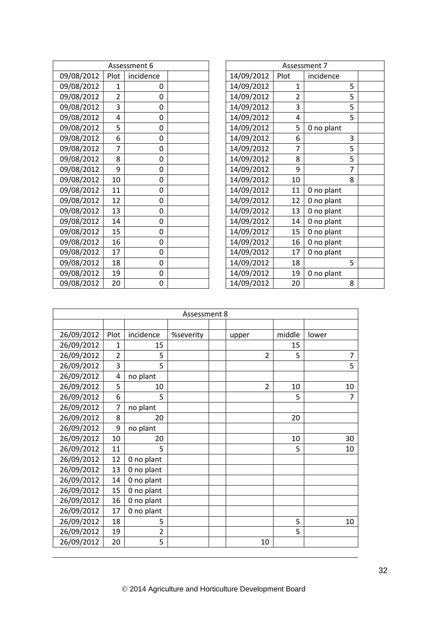|            |                | Assessment 6 |  |            |      | Assessment 7 |
|------------|----------------|--------------|--|------------|------|--------------|
| 09/08/2012 | Plot           | incidence    |  | 14/09/2012 | Plot | incidence    |
| 09/08/2012 | $\mathbf{1}$   | 0            |  | 14/09/2012 | 1    | 5            |
| 09/08/2012 | $\overline{2}$ | 0            |  | 14/09/2012 | 2    | 5            |
| 09/08/2012 | 3              | 0            |  | 14/09/2012 | 3    | 5            |
| 09/08/2012 | 4              | 0            |  | 14/09/2012 | 4    | 5            |
| 09/08/2012 | 5              | 0            |  | 14/09/2012 | 5    | 0 no plant   |
| 09/08/2012 | 6              | 0            |  | 14/09/2012 | 6    | 3            |
| 09/08/2012 | 7              | 0            |  | 14/09/2012 |      | 5            |
| 09/08/2012 | 8              | 0            |  | 14/09/2012 | 8    | 5            |
| 09/08/2012 | 9              | 0            |  | 14/09/2012 | 9    | 7            |
| 09/08/2012 | 10             | 0            |  | 14/09/2012 | 10   | 8            |
| 09/08/2012 | 11             | 0            |  | 14/09/2012 | 11   | 0 no plant   |
| 09/08/2012 | 12             | 0            |  | 14/09/2012 | 12   | 0 no plant   |
| 09/08/2012 | 13             | 0            |  | 14/09/2012 | 13   | 0 no plant   |
| 09/08/2012 | 14             | 0            |  | 14/09/2012 | 14   | 0 no plant   |
| 09/08/2012 | 15             | 0            |  | 14/09/2012 | 15   | 0 no plant   |
| 09/08/2012 | 16             | 0            |  | 14/09/2012 | 16   | 0 no plant   |
| 09/08/2012 | 17             | 0            |  | 14/09/2012 | 17   | 0 no plant   |
| 09/08/2012 | 18             | 0            |  | 14/09/2012 | 18   | 5            |
| 09/08/2012 | 19             | 0            |  | 14/09/2012 | 19   | 0 no plant   |
| 09/08/2012 | 20             | 0            |  | 14/09/2012 | 20   | 8            |

| Assessment 7 |      |            |   |  |  |  |  |  |  |
|--------------|------|------------|---|--|--|--|--|--|--|
| 14/09/2012   | Plot | incidence  |   |  |  |  |  |  |  |
| 14/09/2012   | 1    |            | 5 |  |  |  |  |  |  |
| 14/09/2012   | 2    |            | 5 |  |  |  |  |  |  |
| 14/09/2012   | 3    |            | 5 |  |  |  |  |  |  |
| 14/09/2012   | 4    |            | 5 |  |  |  |  |  |  |
| 14/09/2012   | 5    | 0 no plant |   |  |  |  |  |  |  |
| 14/09/2012   | 6    |            | 3 |  |  |  |  |  |  |
| 14/09/2012   | 7    |            | 5 |  |  |  |  |  |  |
| 14/09/2012   | 8    |            | 5 |  |  |  |  |  |  |
| 14/09/2012   | 9    |            | 7 |  |  |  |  |  |  |
| 14/09/2012   | 10   |            | 8 |  |  |  |  |  |  |
| 14/09/2012   | 11   | 0 no plant |   |  |  |  |  |  |  |
| 14/09/2012   | 12   | 0 no plant |   |  |  |  |  |  |  |
| 14/09/2012   | 13   | 0 no plant |   |  |  |  |  |  |  |
| 14/09/2012   | 14   | 0 no plant |   |  |  |  |  |  |  |
| 14/09/2012   | 15   | 0 no plant |   |  |  |  |  |  |  |
| 14/09/2012   | 16   | 0 no plant |   |  |  |  |  |  |  |
| 14/09/2012   | 17   | 0 no plant |   |  |  |  |  |  |  |
| 14/09/2012   | 18   |            | 5 |  |  |  |  |  |  |
| 14/09/2012   | 19   | 0 no plant |   |  |  |  |  |  |  |
| 14/09/2012   | 20   |            | 8 |  |  |  |  |  |  |
|              |      |            |   |  |  |  |  |  |  |

| Assessment 8 |                |                |           |  |                |        |                |  |  |
|--------------|----------------|----------------|-----------|--|----------------|--------|----------------|--|--|
|              |                |                |           |  |                |        |                |  |  |
| 26/09/2012   | Plot           | incidence      | %severity |  | upper          | middle | lower          |  |  |
| 26/09/2012   | 1              | 15             |           |  |                | 15     |                |  |  |
| 26/09/2012   | $\overline{2}$ | 5              |           |  | $\overline{2}$ | 5      | $\overline{7}$ |  |  |
| 26/09/2012   | 3              | 5              |           |  |                |        | 5              |  |  |
| 26/09/2012   | 4              | no plant       |           |  |                |        |                |  |  |
| 26/09/2012   | 5              | 10             |           |  | $\overline{2}$ | 10     | 10             |  |  |
| 26/09/2012   | 6              | 5              |           |  |                | 5      | 7              |  |  |
| 26/09/2012   | $\overline{7}$ | no plant       |           |  |                |        |                |  |  |
| 26/09/2012   | 8              | 20             |           |  |                | 20     |                |  |  |
| 26/09/2012   | 9              | no plant       |           |  |                |        |                |  |  |
| 26/09/2012   | 10             | 20             |           |  |                | 10     | 30             |  |  |
| 26/09/2012   | 11             | 5              |           |  |                | 5      | 10             |  |  |
| 26/09/2012   | 12             | 0 no plant     |           |  |                |        |                |  |  |
| 26/09/2012   | 13             | 0 no plant     |           |  |                |        |                |  |  |
| 26/09/2012   | 14             | 0 no plant     |           |  |                |        |                |  |  |
| 26/09/2012   | 15             | 0 no plant     |           |  |                |        |                |  |  |
| 26/09/2012   | 16             | 0 no plant     |           |  |                |        |                |  |  |
| 26/09/2012   | 17             | 0 no plant     |           |  |                |        |                |  |  |
| 26/09/2012   | 18             | 5              |           |  |                | 5      | 10             |  |  |
| 26/09/2012   | 19             | $\overline{2}$ |           |  |                | 5      |                |  |  |
| 26/09/2012   | 20             | 5              |           |  | 10             |        |                |  |  |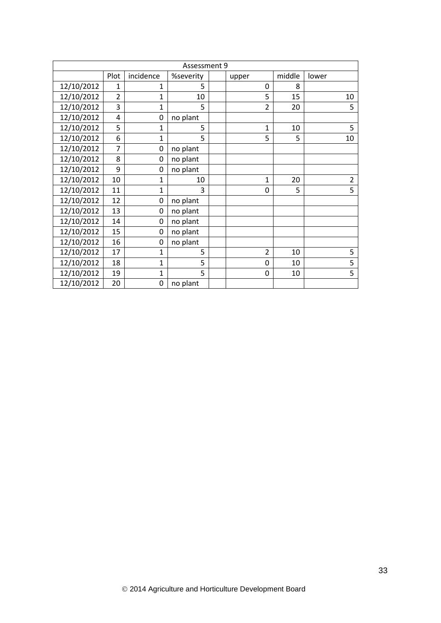| Assessment 9 |                |                |           |  |       |                |        |                |  |  |
|--------------|----------------|----------------|-----------|--|-------|----------------|--------|----------------|--|--|
|              | Plot           | incidence      | %severity |  | upper |                | middle | lower          |  |  |
| 12/10/2012   | $\mathbf{1}$   | 1              | 5         |  |       | 0              | 8      |                |  |  |
| 12/10/2012   | $\overline{2}$ | 1              | 10        |  |       | 5              | 15     | 10             |  |  |
| 12/10/2012   | 3              | 1              | 5         |  |       | $\overline{2}$ | 20     | 5              |  |  |
| 12/10/2012   | 4              | 0              | no plant  |  |       |                |        |                |  |  |
| 12/10/2012   | 5              | $\mathbf{1}$   | 5         |  |       | $\mathbf{1}$   | 10     | 5              |  |  |
| 12/10/2012   | 6              | 1              | 5         |  |       | 5              | 5      | 10             |  |  |
| 12/10/2012   | $\overline{7}$ | 0              | no plant  |  |       |                |        |                |  |  |
| 12/10/2012   | 8              | 0              | no plant  |  |       |                |        |                |  |  |
| 12/10/2012   | 9              | 0              | no plant  |  |       |                |        |                |  |  |
| 12/10/2012   | 10             | $\mathbf{1}$   | 10        |  |       | 1              | 20     | $\overline{2}$ |  |  |
| 12/10/2012   | 11             | $\mathbf{1}$   | 3         |  |       | 0              | 5      | 5              |  |  |
| 12/10/2012   | 12             | 0              | no plant  |  |       |                |        |                |  |  |
| 12/10/2012   | 13             | 0              | no plant  |  |       |                |        |                |  |  |
| 12/10/2012   | 14             | 0              | no plant  |  |       |                |        |                |  |  |
| 12/10/2012   | 15             | 0              | no plant  |  |       |                |        |                |  |  |
| 12/10/2012   | 16             | 0              | no plant  |  |       |                |        |                |  |  |
| 12/10/2012   | 17             | $\mathbf{1}$   | 5         |  |       | $\overline{2}$ | 10     | 5              |  |  |
| 12/10/2012   | 18             | $\mathbf{1}$   | 5         |  |       | 0              | 10     | 5              |  |  |
| 12/10/2012   | 19             | $\overline{1}$ | 5         |  |       | $\mathbf 0$    | 10     | 5              |  |  |
| 12/10/2012   | 20             | $\mathbf 0$    | no plant  |  |       |                |        |                |  |  |